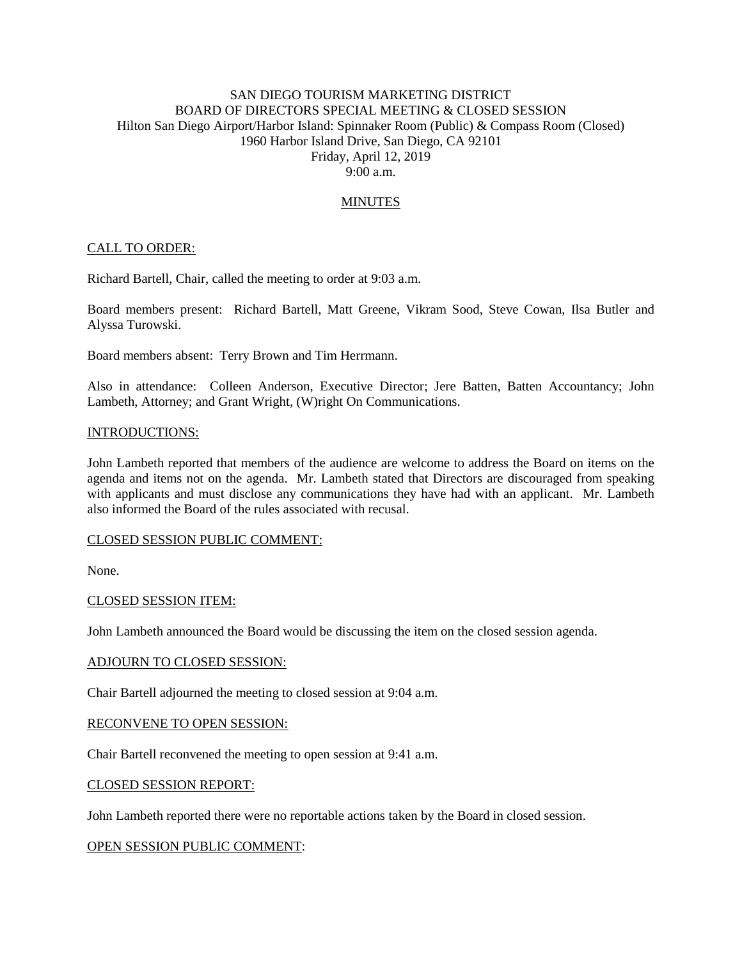# SAN DIEGO TOURISM MARKETING DISTRICT BOARD OF DIRECTORS SPECIAL MEETING & CLOSED SESSION Hilton San Diego Airport/Harbor Island: Spinnaker Room (Public) & Compass Room (Closed) 1960 Harbor Island Drive, San Diego, CA 92101 Friday, April 12, 2019 9:00 a.m.

## **MINUTES**

### CALL TO ORDER:

Richard Bartell, Chair, called the meeting to order at 9:03 a.m.

Board members present: Richard Bartell, Matt Greene, Vikram Sood, Steve Cowan, Ilsa Butler and Alyssa Turowski.

Board members absent: Terry Brown and Tim Herrmann.

Also in attendance: Colleen Anderson, Executive Director; Jere Batten, Batten Accountancy; John Lambeth, Attorney; and Grant Wright, (W)right On Communications.

#### INTRODUCTIONS:

John Lambeth reported that members of the audience are welcome to address the Board on items on the agenda and items not on the agenda. Mr. Lambeth stated that Directors are discouraged from speaking with applicants and must disclose any communications they have had with an applicant. Mr. Lambeth also informed the Board of the rules associated with recusal.

#### CLOSED SESSION PUBLIC COMMENT:

None.

#### CLOSED SESSION ITEM:

John Lambeth announced the Board would be discussing the item on the closed session agenda.

#### ADJOURN TO CLOSED SESSION:

Chair Bartell adjourned the meeting to closed session at 9:04 a.m.

#### RECONVENE TO OPEN SESSION:

Chair Bartell reconvened the meeting to open session at 9:41 a.m.

#### CLOSED SESSION REPORT:

John Lambeth reported there were no reportable actions taken by the Board in closed session.

### OPEN SESSION PUBLIC COMMENT: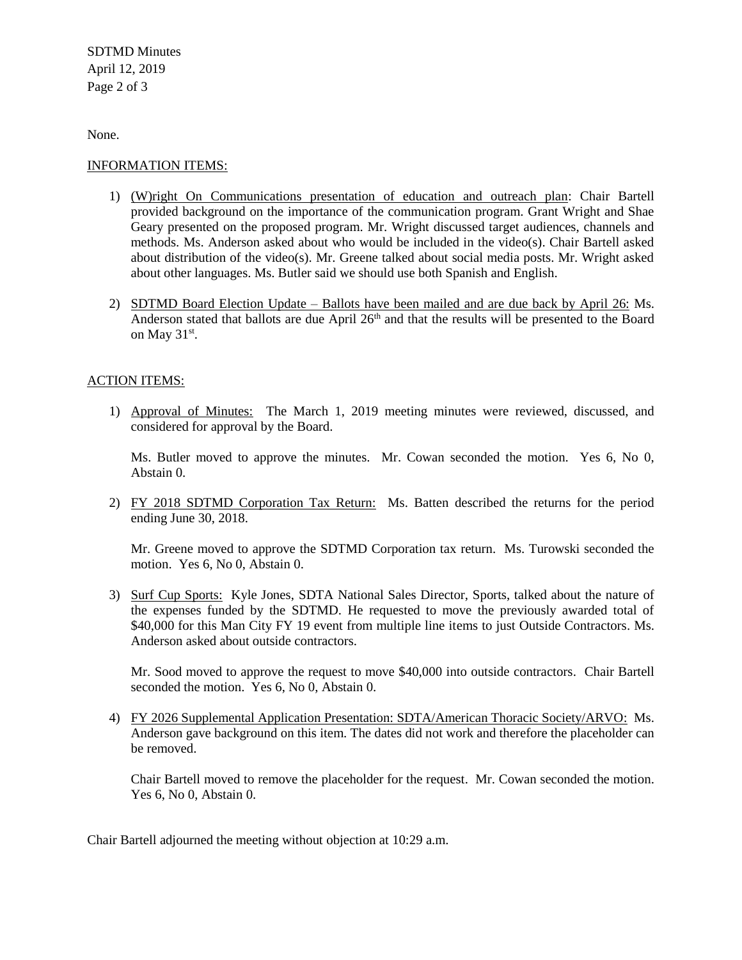SDTMD Minutes April 12, 2019 Page 2 of 3

None.

## INFORMATION ITEMS:

- 1) (W)right On Communications presentation of education and outreach plan: Chair Bartell provided background on the importance of the communication program. Grant Wright and Shae Geary presented on the proposed program. Mr. Wright discussed target audiences, channels and methods. Ms. Anderson asked about who would be included in the video(s). Chair Bartell asked about distribution of the video(s). Mr. Greene talked about social media posts. Mr. Wright asked about other languages. Ms. Butler said we should use both Spanish and English.
- 2) SDTMD Board Election Update Ballots have been mailed and are due back by April 26: Ms. Anderson stated that ballots are due April 26<sup>th</sup> and that the results will be presented to the Board on May 31<sup>st</sup>.

## ACTION ITEMS:

1) Approval of Minutes: The March 1, 2019 meeting minutes were reviewed, discussed, and considered for approval by the Board.

Ms. Butler moved to approve the minutes. Mr. Cowan seconded the motion. Yes 6, No 0, Abstain 0.

2) FY 2018 SDTMD Corporation Tax Return: Ms. Batten described the returns for the period ending June 30, 2018.

Mr. Greene moved to approve the SDTMD Corporation tax return. Ms. Turowski seconded the motion. Yes 6, No 0, Abstain 0.

3) Surf Cup Sports: Kyle Jones, SDTA National Sales Director, Sports, talked about the nature of the expenses funded by the SDTMD. He requested to move the previously awarded total of \$40,000 for this Man City FY 19 event from multiple line items to just Outside Contractors. Ms. Anderson asked about outside contractors.

Mr. Sood moved to approve the request to move \$40,000 into outside contractors. Chair Bartell seconded the motion. Yes 6, No 0, Abstain 0.

4) FY 2026 Supplemental Application Presentation: SDTA/American Thoracic Society/ARVO: Ms. Anderson gave background on this item. The dates did not work and therefore the placeholder can be removed.

Chair Bartell moved to remove the placeholder for the request. Mr. Cowan seconded the motion. Yes 6, No 0, Abstain 0.

Chair Bartell adjourned the meeting without objection at 10:29 a.m.